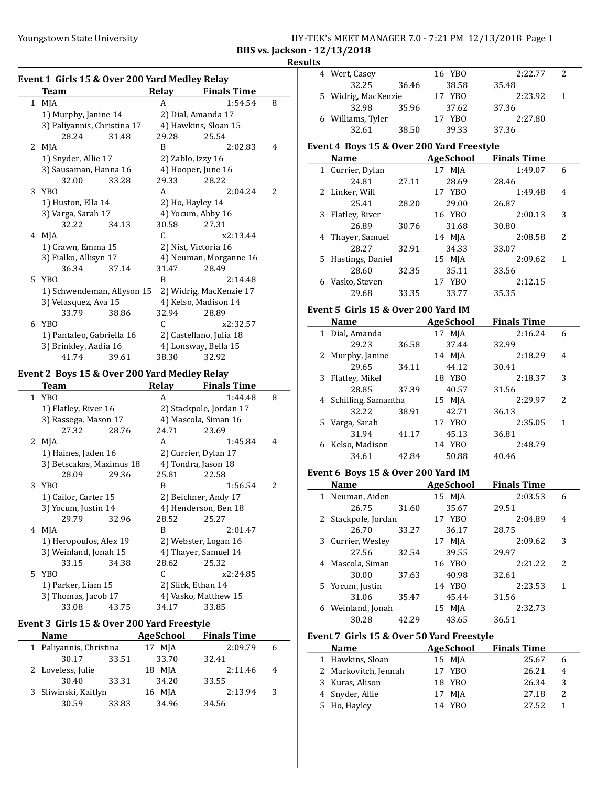Event 3 Girls 15 & Over 200 Yard Freestyle

#### Youngstown State University HY-TEK's MEET MANAGER 7.0 - 7:21 PM 12/13/2018 Page 1 BHS vs. Jackson - 12/13/2018

Event 4 Boys 15 & Over 200 Yard Freestyle

Event 5 Girls 15 & Over 200 Yard IM

36.58

4 2:22.77 2 Wert, Casey 16 YBO 32.25 36.46 38.58 35.48 5 2:23.92 1 Widrig, MacKenzie 17 YBO 32.98 35.96 37.62 37.36 6 2:27.80 Williams, Tyler 17 YBO 32.61 38.50 39.33 37.36

Name Age School Finals Time 1 Currier, Dylan 17 MJA 1:49.07 6 24.81 27.11 28.69 28.46<br>er, Will 17 YBO 2 Linker, Will 17 YBO 1:49.48 4 25.41 28.20 29.00 26.87 3 2:00.13 3 Flatley, River 16 YBO 26.89 30.76 31.68 30.80<br>
er, Samuel 14 MJA 2:08.58 4 2:08.58 2 Thayer, Samuel 14 MJA 28.27 32.91 34.33 33.07 5 Hastings, Daniel 15 MJA 2:09.62 1 28.60 32.35 35.11 33.56 6 2:12.15 Vasko, Steven 17 YBO 29.68 33.35 33.77 35.35

Name AgeSchool Finals Time 1 Dial, Amanda 17 MJA 2:16.24 6<br>29.23 36.58 37.44 32.99

2 2:18.29 4 Murphy, Janine 14 MJA 29.65 34.11 44.12 30.41 3 2:18.37 3 Flatley, Mikel 18 YBO 28.85 37.39 40.57 31.56 4 2:29.97 2 Schilling, Samantha 15 MJA 32.22 38.91 42.71 36.13

# Results

|              | Event 1 Girls 15 & Over 200 Yard Medley Relay |               |                         |   |
|--------------|-----------------------------------------------|---------------|-------------------------|---|
|              | <b>Team</b>                                   | Relay         | <b>Finals Time</b>      |   |
| $\mathbf{1}$ | MJA                                           | A             | 1:54.54                 | 8 |
|              | 1) Murphy, Janine 14                          |               | 2) Dial, Amanda 17      |   |
|              | 3) Paliyannis, Christina 17                   |               | 4) Hawkins, Sloan 15    |   |
|              | 28.24<br>31.48                                | 29.28         | 25.54                   |   |
| 2            | MJA                                           | R             | 2:02.83                 | 4 |
|              | 1) Snyder, Allie 17                           |               | 2) Zablo, Izzy 16       |   |
|              | 3) Sausaman, Hanna 16                         |               | 4) Hooper, June 16      |   |
|              | 32.00<br>33.28                                | 29.33         | 28.22                   |   |
| 3            | <b>YBO</b>                                    | A             | 2:04.24                 | 2 |
|              | 1) Huston, Ella 14                            |               | 2) Ho, Hayley 14        |   |
|              | 3) Varga, Sarah 17                            |               | 4) Yocum, Abby 16       |   |
|              | 32.22<br>34.13                                | 30.58         | 27.31                   |   |
| 4            | MJA                                           | C             | x2:13.44                |   |
|              | 1) Crawn, Emma 15                             |               | 2) Nist, Victoria 16    |   |
|              | 3) Fialko, Allisyn 17                         |               | 4) Neuman, Morganne 16  |   |
|              | 36.34<br>37.14                                | 31.47         | 28.49                   |   |
| 5            | YB <sub>0</sub>                               | B             | 2:14.48                 |   |
|              | 1) Schwendeman, Allyson 15                    |               | 2) Widrig, MacKenzie 17 |   |
|              | 3) Velasquez, Ava 15                          |               | 4) Kelso, Madison 14    |   |
|              | 33.79<br>38.86                                | 32.94         | 28.89                   |   |
| 6            | <b>YBO</b>                                    | $\mathcal{C}$ | x2:32.57                |   |
|              | 1) Pantaleo, Gabriella 16                     |               | 2) Castellano, Julia 18 |   |
|              | 3) Brinkley, Aadia 16                         |               | 4) Lonsway, Bella 15    |   |
|              | 41.74<br>39.61                                | 38.30         | 32.92                   |   |
|              | Event 2 Boys 15 & Over 200 Yard Medley Relay  |               |                         |   |
|              | <b>Team</b>                                   |               | Relay Finals Time       |   |
| $\mathbf{1}$ | YB <sub>0</sub>                               | A             | 1:44.48                 | 8 |
|              | 1) Flatley, River 16                          |               | 2) Stackpole, Jordan 17 |   |
|              | 3) Rassega, Mason 17                          |               | 4) Mascola, Siman 16    |   |
|              | 27.32<br>28.76                                | 24.71         | 23.69                   |   |
| 2            | MJA                                           | $\mathsf{A}$  | 1:45.84                 | 4 |
|              | 1) Haines, Jaden 16                           |               | 2) Currier, Dylan 17    |   |
|              | 3) Betscakos, Maximus 18                      |               | 4) Tondra, Jason 18     |   |
|              | 28.09<br>29.36                                | 25.81         | 22.58                   |   |
| 3            | YB <sub>0</sub>                               | B             | 1:56.54                 | 2 |
|              | 1) Cailor, Carter 15                          |               | 2) Beichner, Andy 17    |   |
|              | 3) Yocum, Justin 14                           |               | 4) Henderson, Ben 18    |   |

| 3) Rassega, Mason 17                     |                    | 4) Mascola, Siman 16 |   | 5 Varga, Sarah                            |       | 17 YBO    | 2:35.05            | 1            |
|------------------------------------------|--------------------|----------------------|---|-------------------------------------------|-------|-----------|--------------------|--------------|
| 27.32<br>28.76                           | 24.71              | 23.69                |   | 31.94                                     | 41.17 | 45.13     | 36.81              |              |
| 2 MJA                                    | A                  | 1:45.84              | 4 | 6 Kelso, Madison                          |       | 14 YBO    | 2:48.79            |              |
| 1) Haines, Jaden 16                      |                    | 2) Currier, Dylan 17 |   | 34.61                                     | 42.84 | 50.88     | 40.46              |              |
| 3) Betscakos, Maximus 18                 |                    | 4) Tondra, Jason 18  |   |                                           |       |           |                    |              |
| 29.36<br>28.09                           | 25.81              | 22.58                |   | Event 6 Boys 15 & Over 200 Yard IM        |       |           |                    |              |
| 3 YBO                                    | B                  | 1:56.54              | 2 | <b>Name</b>                               |       | AgeSchool | <b>Finals Time</b> |              |
| 1) Cailor, Carter 15                     |                    | 2) Beichner, Andy 17 |   | 1 Neuman, Aiden                           |       | 15 MJA    | 2:03.53            | 6            |
| 3) Yocum, Justin 14                      |                    | 4) Henderson, Ben 18 |   | 26.75                                     | 31.60 | 35.67     | 29.51              |              |
| 32.96<br>29.79                           | 28.52              | 25.27                |   | 2 Stackpole, Jordan                       |       | 17 YBO    | 2:04.89            | 4            |
| 4 MJA                                    | B                  | 2:01.47              |   | 26.70                                     | 33.27 | 36.17     | 28.75              |              |
| 1) Heropoulos, Alex 19                   |                    | 2) Webster, Logan 16 |   | 3 Currier, Wesley                         |       | 17 MJA    | 2:09.62            | 3            |
| 3) Weinland, Jonah 15                    |                    | 4) Thayer, Samuel 14 |   | 27.56                                     | 32.54 | 39.55     | 29.97              |              |
| 33.15<br>34.38                           | 28.62              | 25.32                |   | 4 Mascola, Siman                          |       | 16 YBO    | 2:21.22            | 2            |
| 5 YBO                                    | C.                 | x2:24.85             |   | 30.00                                     | 37.63 | 40.98     | 32.61              |              |
| 1) Parker, Liam 15                       | 2) Slick, Ethan 14 |                      |   | 5 Yocum, Justin                           |       | 14 YBO    | 2:23.53            | $\mathbf{1}$ |
| 3) Thomas, Jacob 17                      |                    | 4) Vasko, Matthew 15 |   | 31.06                                     | 35.47 | 45.44     | 31.56              |              |
| 33.08<br>43.75                           | 34.17              | 33.85                |   | 6 Weinland, Jonah                         |       | $15$ MJA  | 2:32.73            |              |
| ent 3 Girls 15 & Over 200 Yard Freestyle |                    |                      |   | 30.28                                     | 42.29 | 43.65     | 36.51              |              |
| <b>Name</b>                              | AgeSchool          | <b>Finals Time</b>   |   |                                           |       |           |                    |              |
|                                          |                    |                      |   | Event 7 Girls 15 & Over 50 Yard Freestyle |       |           |                    |              |

#### 1 2:09.79 6 Paliyannis, Christina 17 MJA 30.17 33.51 33.70 32.41 2 Loveless, Julie 18 MJA 2:11.46 4 30.40 33.31 34.20 33.55 3 2:13.94 3 Sliwinski, Kaitlyn 16 MJA 30.59 33.83 34.96 34.56 Name AgeSchool Finals Time 1 25.67 6 Hawkins, Sloan 15 MJA 2 Markovitch, Jennah 17 YBO 26.21 4 3 26.34 3 Kuras, Alison 18 YBO 4 27.18 2 Snyder, Allie 17 MJA 5 Ho, Hayley 14 YBO 27.52 1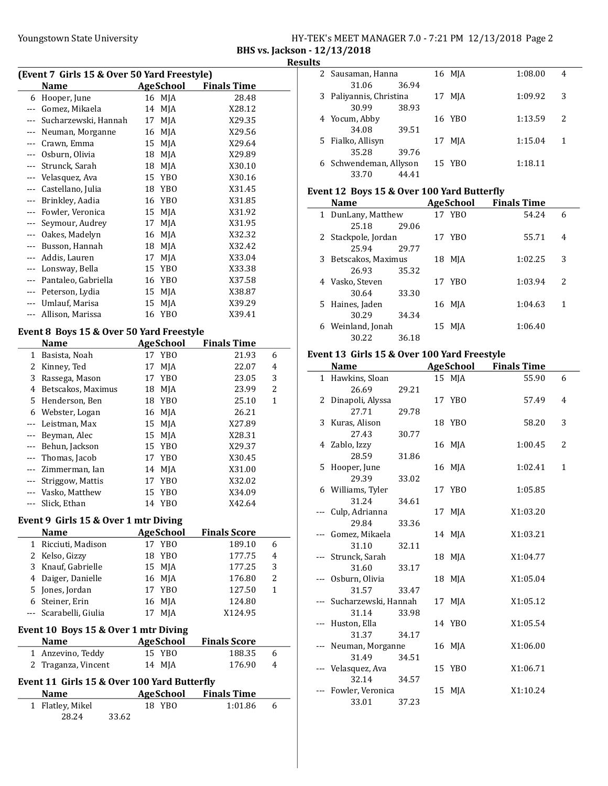# Youngstown State University The HY-TEK's MEET MANAGER 7.0 - 7:21 PM 12/13/2018 Page 2

BHS vs. Jackson - 12/13/2018 Results

| (Event 7 Girls 15 & Over 50 Yard Freestyle) |                  |                    |  |
|---------------------------------------------|------------------|--------------------|--|
| <b>Name</b>                                 | <b>AgeSchool</b> | <b>Finals Time</b> |  |
| 6 Hooper, June                              | 16 MJA           | 28.48              |  |
| --- Gomez, Mikaela                          | 14 MJA           | X28.12             |  |
| --- Sucharzewski, Hannah                    | 17 MJA           | X29.35             |  |
| --- Neuman, Morganne                        | 16 MJA           | X29.56             |  |
| --- Crawn, Emma                             | 15 MJA           | X29.64             |  |
|                                             |                  |                    |  |

|                      | Neuman, Morganne    | 16 | MJA             | X29.56 |
|----------------------|---------------------|----|-----------------|--------|
|                      | Crawn, Emma         | 15 | MJA             | X29.64 |
|                      | Osburn, Olivia      | 18 | MJA             | X29.89 |
| $\cdots$             | Strunck, Sarah      | 18 | MJA             | X30.10 |
| $\sim$ $\sim$ $\sim$ | Velasquez, Ava      |    | 15 YBO          | X30.16 |
| $\cdots$             | Castellano, Julia   | 18 | YBO             | X31.45 |
| $\cdots$             | Brinkley, Aadia     |    | 16 YBO          | X31.85 |
| $---$                | Fowler, Veronica    | 15 | MJA             | X31.92 |
| $\sim$ $\sim$ $\sim$ | Seymour, Audrey     | 17 | MJA             | X31.95 |
| $\sim$ $\sim$ $\sim$ | Oakes, Madelyn      | 16 | MJA             | X32.32 |
| $---$                | Busson, Hannah      | 18 | MJA             | X32.42 |
| $\cdots$             | Addis, Lauren       | 17 | MJA             | X33.04 |
| $\sim$ $\sim$ $\sim$ | Lonsway, Bella      | 15 | YB <sub>0</sub> | X33.38 |
| $---$                | Pantaleo, Gabriella | 16 | YB <sub>0</sub> | X37.58 |
| $---$                | Peterson, Lydia     | 15 | MJA             | X38.87 |
| $\cdots$             | Umlauf, Marisa      | 15 | MJA             | X39.29 |
| $\cdots$             | Allison, Marissa    | 16 | YBO             | X39.41 |

#### Event 8 Boys 15 & Over 50 Yard Freestyle

|          | Name               |    | <b>AgeSchool</b> | <b>Finals Time</b> |   |
|----------|--------------------|----|------------------|--------------------|---|
| 1        | Basista, Noah      |    | 17 YBO           | 21.93              | 6 |
| 2        | Kinney, Ted        | 17 | MJA              | 22.07              | 4 |
| 3        | Rassega, Mason     | 17 | YBO              | 23.05              | 3 |
| 4        | Betscakos, Maximus |    | 18 MJA           | 23.99              | 2 |
| 5.       | Henderson, Ben     |    | 18 YBO           | 25.10              | 1 |
| 6        | Webster, Logan     |    | 16 MJA           | 26.21              |   |
| $\cdots$ | Leistman, Max      |    | 15 MJA           | X27.89             |   |
|          | Beyman, Alec       | 15 | MJA              | X28.31             |   |
| $\cdots$ | Behun, Jackson     |    | 15 YBO           | X29.37             |   |
|          | Thomas, Jacob      | 17 | YBO              | X30.45             |   |
| $---$    | Zimmerman, Ian     |    | 14 MJA           | X31.00             |   |
|          | Striggow, Mattis   | 17 | YB <sub>0</sub>  | X32.02             |   |
| $\cdots$ | Vasko, Matthew     |    | 15 YBO           | X34.09             |   |
|          | Slick, Ethan       | 14 | YBO              | X42.64             |   |

#### Event 9 Girls 15 & Over 1 mtr Diving

28.24 33.62

|              | Name                                        | <b>AgeSchool</b> | <b>Finals Score</b> |                |  |
|--------------|---------------------------------------------|------------------|---------------------|----------------|--|
| 1            | Ricciuti, Madison                           | 17 YBO           | 189.10              | 6              |  |
| 2            | Kelso, Gizzy                                | 18 YBO           | 177.75              | $\overline{4}$ |  |
| 3            | Knauf, Gabrielle                            | 15 MJA           | 177.25              | 3              |  |
| 4            | Daiger, Danielle                            | 16 MJA           | 176.80              | $\overline{2}$ |  |
| 5            | Jones, Jordan                               | 17 YBO           | 127.50              | 1              |  |
| 6            | Steiner, Erin                               | 16 MJA           | 124.80              |                |  |
|              | Scarabelli, Giulia                          | 17 MJA           | X124.95             |                |  |
|              | Event 10 Boys 15 & Over 1 mtr Diving        |                  |                     |                |  |
|              | <b>Name</b>                                 | AgeSchool        | <b>Finals Score</b> |                |  |
| 1            | Anzevino, Teddy                             | 15 YBO           | 188.35              | 6              |  |
| 2            | Traganza, Vincent                           | 14 MJA           | 176.90              | 4              |  |
|              | Event 11 Girls 15 & Over 100 Yard Butterfly |                  |                     |                |  |
|              | Name                                        | AgeSchool        | <b>Finals Time</b>  |                |  |
| $\mathbf{1}$ | Flatley, Mikel                              | 18 YBO           | 1:01.86             | 6              |  |

| . . |                         |       |    |        |         |   |
|-----|-------------------------|-------|----|--------|---------|---|
|     | 2 Sausaman, Hanna       |       |    | 16 MJA | 1:08.00 | 4 |
|     | 31.06                   | 36.94 |    |        |         |   |
|     | 3 Paliyannis, Christina |       | 17 | MJA    | 1:09.92 | 3 |
|     | 30.99                   | 38.93 |    |        |         |   |
|     | 4 Yocum, Abby           |       |    | 16 YBO | 1:13.59 | 2 |
|     | 34.08                   | 39.51 |    |        |         |   |
|     | 5 Fialko, Allisyn       |       | 17 | MJA    | 1:15.04 | 1 |
|     | 35.28                   | 39.76 |    |        |         |   |
|     | 6 Schwendeman, Allyson  |       |    | 15 YBO | 1:18.11 |   |
|     | 33.70                   | 44.41 |    |        |         |   |

#### Event 12 Boys 15 & Over 100 Yard Butterfly

|   | <b>Name</b>          |       | <b>AgeSchool</b> | <b>Finals Time</b> |                          |
|---|----------------------|-------|------------------|--------------------|--------------------------|
|   | 1 DunLany, Matthew   |       | 17 YBO           | 54.24              | 6                        |
|   | 25.18                | 29.06 |                  |                    |                          |
|   | 2 Stackpole, Jordan  |       | 17 YBO           | 55.71              | 4                        |
|   | 25.94                | 29.77 |                  |                    |                          |
|   | 3 Betscakos, Maximus |       | 18 MJA           | 1:02.25            | 3                        |
|   | 26.93                | 35.32 |                  |                    |                          |
|   | 4 Vasko, Steven      |       | 17 YBO           | 1:03.94            | $\overline{\mathcal{L}}$ |
|   | 30.64                | 33.30 |                  |                    |                          |
|   | 5 Haines, Jaden      |       | 16 MJA           | 1:04.63            | 1                        |
|   | 30.29                | 34.34 |                  |                    |                          |
| 6 | Weinland, Jonah      |       | 15 MJA           | 1:06.40            |                          |
|   | 30.22                | 36.18 |                  |                    |                          |

#### Event 13 Girls 15 & Over 100 Yard Freestyle

|              | Name                     |       | <b>AgeSchool</b> | <b>Finals Time</b> |   |
|--------------|--------------------------|-------|------------------|--------------------|---|
| $\mathbf{1}$ | Hawkins, Sloan           |       | 15 MJA           | 55.90              | 6 |
|              | 26.69                    | 29.21 |                  |                    |   |
|              | 2 Dinapoli, Alyssa       |       | 17 YBO           | 57.49              | 4 |
|              | 27.71                    | 29.78 |                  |                    |   |
|              | 3 Kuras, Alison          |       | 18 YBO           | 58.20              | 3 |
|              | 27.43                    | 30.77 |                  |                    |   |
|              | 4 Zablo, Izzy            |       | 16 MJA           | 1:00.45            | 2 |
|              | 28.59                    | 31.86 |                  |                    |   |
|              | 5 Hooper, June           |       | 16 MJA           | 1:02.41            | 1 |
|              | 29.39                    | 33.02 |                  |                    |   |
|              | 6 Williams, Tyler        |       | 17 YBO           | 1:05.85            |   |
|              | 31.24                    | 34.61 |                  |                    |   |
| ---          | Culp, Adrianna           |       | 17 MJA           | X1:03.20           |   |
|              | 29.84                    | 33.36 |                  |                    |   |
|              | Gomez, Mikaela           |       | 14 MJA           | X1:03.21           |   |
|              | 31.10                    | 32.11 |                  |                    |   |
|              | --- Strunck, Sarah       |       | 18 MJA           | X1:04.77           |   |
|              | 31.60                    | 33.17 |                  |                    |   |
|              | Osburn, Olivia           |       | 18 MJA           | X1:05.04           |   |
|              | 31.57                    | 33.47 |                  |                    |   |
|              | --- Sucharzewski, Hannah |       | 17 MJA           | X1:05.12           |   |
|              | 31.14                    | 33.98 |                  |                    |   |
|              | Huston, Ella             |       | 14 YBO           | X1:05.54           |   |
|              | 31.37                    | 34.17 |                  |                    |   |
|              | --- Neuman, Morganne     |       | 16 MJA           | X1:06.00           |   |
|              | 31.49                    | 34.51 |                  |                    |   |
|              | Velasquez, Ava           |       | 15 YBO           | X1:06.71           |   |
|              | 32.14                    | 34.57 |                  |                    |   |
|              | Fowler, Veronica         |       | 15 MJA           | X1:10.24           |   |
|              | 33.01                    | 37.23 |                  |                    |   |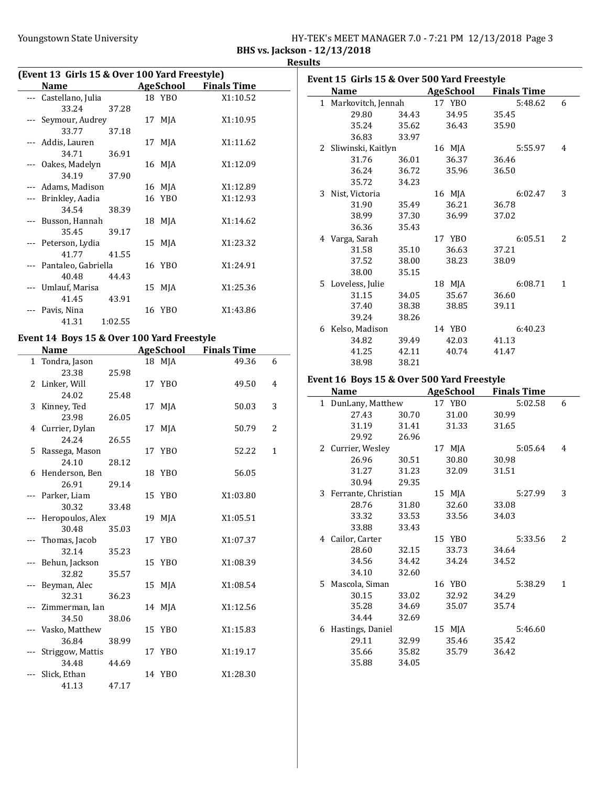| HY-TEK's MEET MANAGER 7.0 - 7:21 PM 12/13/2018 Page 3 |  |  |
|-------------------------------------------------------|--|--|
|                                                       |  |  |

BHS vs. Jackson - 12/13/2018 **Results** 

| (Event 13 Girls 15 & Over 100 Yard Freestyle) |           |                    |  |  |  |  |
|-----------------------------------------------|-----------|--------------------|--|--|--|--|
| <b>Name</b>                                   | AgeSchool | <b>Finals Time</b> |  |  |  |  |
| Castellano, Julia                             | 18 YBO    | X1:10.52           |  |  |  |  |
| 33.24<br>37.28                                |           |                    |  |  |  |  |
| Seymour, Audrey                               | 17 MJA    | X1:10.95           |  |  |  |  |
| 33.77<br>37.18                                |           |                    |  |  |  |  |
| --- Addis, Lauren                             | 17 MJA    | X1:11.62           |  |  |  |  |
| 34.71<br>36.91                                |           |                    |  |  |  |  |
| --- Oakes, Madelyn                            | 16 MJA    | X1:12.09           |  |  |  |  |
| 34.19<br>37.90                                |           |                    |  |  |  |  |
| --- Adams, Madison                            | 16 MJA    | X1:12.89           |  |  |  |  |
| Brinkley, Aadia                               | 16 YBO    | X1:12.93           |  |  |  |  |
| 34.54<br>38.39                                |           |                    |  |  |  |  |
| Busson, Hannah                                | 18 MJA    | X1:14.62           |  |  |  |  |
| 35.45<br>39.17                                |           |                    |  |  |  |  |
| --- Peterson, Lydia                           | 15 MJA    | X1:23.32           |  |  |  |  |
| 41.77<br>41.55                                |           |                    |  |  |  |  |
| --- Pantaleo, Gabriella                       | 16 YBO    | X1:24.91           |  |  |  |  |
| 40.48<br>44.43                                |           |                    |  |  |  |  |
| Umlauf, Marisa                                | 15 MJA    | X1:25.36           |  |  |  |  |
| 41.45<br>43.91                                |           |                    |  |  |  |  |
| Pavis, Nina                                   | 16 YBO    | X1:43.86           |  |  |  |  |
| 1:02.55<br>41.31                              |           |                    |  |  |  |  |

# Event 14 Boys 15 & Over 100 Yard Freestyle

|              | <b>Name</b>      |       | <b>AgeSchool</b> | <b>Finals Time</b> |                |
|--------------|------------------|-------|------------------|--------------------|----------------|
| $\mathbf{1}$ | Tondra, Jason    |       | 18 MJA           | 49.36              | 6              |
|              | 23.38            | 25.98 |                  |                    |                |
|              | 2 Linker, Will   |       | 17 YBO           | 49.50              | 4              |
|              | 24.02            | 25.48 |                  |                    |                |
|              | 3 Kinney, Ted    |       | 17 MJA           | 50.03              | 3              |
|              | 23.98            | 26.05 |                  |                    |                |
|              | 4 Currier, Dylan |       | 17 MJA           | 50.79              | $\overline{c}$ |
|              | 24.24            | 26.55 |                  |                    |                |
|              | 5 Rassega, Mason |       | 17 YBO           | 52.22              | $\mathbf{1}$   |
|              | 24.10            | 28.12 |                  |                    |                |
| 6            | Henderson, Ben   |       | 18 YBO           | 56.05              |                |
|              | 26.91            | 29.14 |                  |                    |                |
|              | Parker, Liam     |       | 15 YBO           | X1:03.80           |                |
|              | 30.32            | 33.48 |                  |                    |                |
|              | Heropoulos, Alex |       | 19 MJA           | X1:05.51           |                |
|              | 30.48            | 35.03 |                  |                    |                |
|              | Thomas, Jacob    |       | 17 YBO           | X1:07.37           |                |
|              | 32.14            | 35.23 |                  |                    |                |
|              | Behun, Jackson   |       | 15 YBO           | X1:08.39           |                |
|              | 32.82            | 35.57 |                  |                    |                |
|              | Beyman, Alec     |       | 15 MJA           | X1:08.54           |                |
|              | 32.31            | 36.23 |                  |                    |                |
|              | Zimmerman, Ian   |       | 14 MJA           | X1:12.56           |                |
|              | 34.50            | 38.06 |                  |                    |                |
|              | Vasko, Matthew   |       | 15 YBO           | X1:15.83           |                |
|              | 36.84            | 38.99 |                  |                    |                |
|              | Striggow, Mattis |       | 17 YBO           | X1:19.17           |                |
|              | 34.48            | 44.69 |                  |                    |                |
|              | Slick, Ethan     |       | 14 YBO           | X1:28.30           |                |
|              | 41.13            | 47.17 |                  |                    |                |

| Event 15 Girls 15 & Over 500 Yard Freestyle |                      |       |                  |                    |              |  |  |
|---------------------------------------------|----------------------|-------|------------------|--------------------|--------------|--|--|
|                                             | <b>Name</b>          |       | <b>AgeSchool</b> | <b>Finals Time</b> |              |  |  |
|                                             | 1 Markovitch, Jennah |       | 17 YBO           | 5:48.62            | 6            |  |  |
|                                             | 29.80                | 34.43 | 34.95            | 35.45              |              |  |  |
|                                             | 35.24                | 35.62 | 36.43            | 35.90              |              |  |  |
|                                             | 36.83                | 33.97 |                  |                    |              |  |  |
|                                             | 2 Sliwinski, Kaitlyn |       | 16 MJA           | 5:55.97            | 4            |  |  |
|                                             | 31.76                | 36.01 | 36.37            | 36.46              |              |  |  |
|                                             | 36.24                | 36.72 | 35.96            | 36.50              |              |  |  |
|                                             | 35.72                | 34.23 |                  |                    |              |  |  |
|                                             | 3 Nist, Victoria     |       | 16 MJA           | 6:02.47            | 3            |  |  |
|                                             | 31.90                | 35.49 | 36.21            | 36.78              |              |  |  |
|                                             | 38.99                | 37.30 | 36.99            | 37.02              |              |  |  |
|                                             | 36.36                | 35.43 |                  |                    |              |  |  |
|                                             | 4 Varga, Sarah       |       | 17 YBO           | 6:05.51            | 2            |  |  |
|                                             | 31.58                | 35.10 | 36.63            | 37.21              |              |  |  |
|                                             | 37.52                | 38.00 | 38.23            | 38.09              |              |  |  |
|                                             | 38.00                | 35.15 |                  |                    |              |  |  |
|                                             | 5 Loveless, Julie    |       | 18 MJA           | 6:08.71            | $\mathbf{1}$ |  |  |
|                                             | 31.15                | 34.05 | 35.67            | 36.60              |              |  |  |
|                                             | 37.40                | 38.38 | 38.85            | 39.11              |              |  |  |
|                                             | 39.24                | 38.26 |                  |                    |              |  |  |
| 6                                           | Kelso, Madison       |       | 14 YBO           | 6:40.23            |              |  |  |
|                                             | 34.82                | 39.49 | 42.03            | 41.13              |              |  |  |
|                                             | 41.25                | 42.11 | 40.74            | 41.47              |              |  |  |
|                                             | 38.98                | 38.21 |                  |                    |              |  |  |

# Event 16 Boys 15 & Over 500 Yard Freestyle

|   | Name                  |       | AgeSchool | <b>Finals Time</b> |   |
|---|-----------------------|-------|-----------|--------------------|---|
|   | 1 DunLany, Matthew    |       | 17 YBO    | 5:02.58            | 6 |
|   | 27.43                 | 30.70 | 31.00     | 30.99              |   |
|   | 31.19                 | 31.41 | 31.33     | 31.65              |   |
|   | 29.92                 | 26.96 |           |                    |   |
|   | 2 Currier, Wesley     |       | 17 MJA    | 5:05.64            | 4 |
|   | 26.96                 | 30.51 | 30.80     | 30.98              |   |
|   | 31.27                 | 31.23 | 32.09     | 31.51              |   |
|   | 30.94                 | 29.35 |           |                    |   |
|   | 3 Ferrante, Christian |       | 15 MJA    | 5:27.99            | 3 |
|   | 28.76                 | 31.80 | 32.60     | 33.08              |   |
|   | 33.32                 | 33.53 | 33.56     | 34.03              |   |
|   | 33.88                 | 33.43 |           |                    |   |
|   | 4 Cailor, Carter      |       | 15 YBO    | 5:33.56            | 2 |
|   | 28.60                 | 32.15 | 33.73     | 34.64              |   |
|   | 34.56                 | 34.42 | 34.24     | 34.52              |   |
|   | 34.10                 | 32.60 |           |                    |   |
|   | 5 Mascola, Siman      |       | 16 YBO    | 5:38.29            | 1 |
|   | 30.15                 | 33.02 | 32.92     | 34.29              |   |
|   | 35.28                 | 34.69 | 35.07     | 35.74              |   |
|   | 34.44                 | 32.69 |           |                    |   |
| 6 | Hastings, Daniel      |       | 15 MJA    | 5:46.60            |   |
|   | 29.11                 | 32.99 | 35.46     | 35.42              |   |
|   | 35.66                 | 35.82 | 35.79     | 36.42              |   |
|   | 35.88                 | 34.05 |           |                    |   |
|   |                       |       |           |                    |   |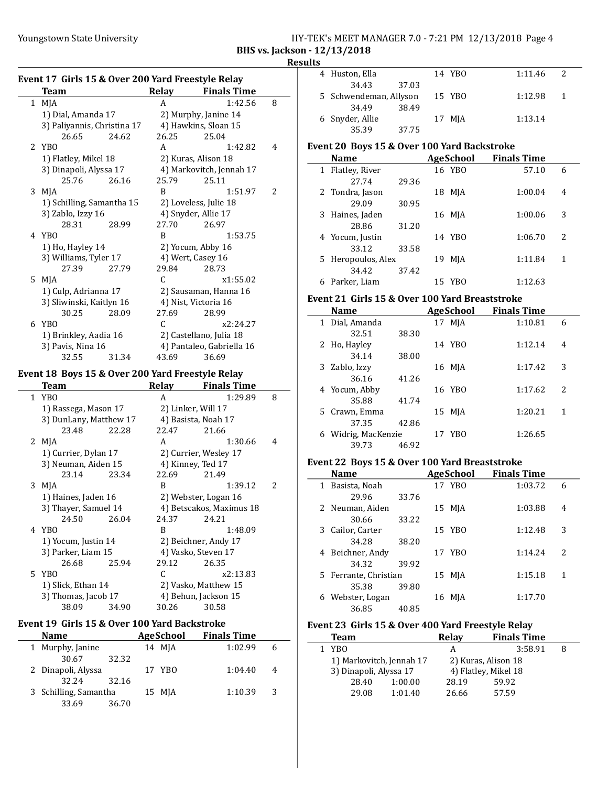# Youngstown State University The HY-TEK's MEET MANAGER 7.0 - 7:21 PM 12/13/2018 Page 4

BHS vs. Jackson - 12/13/2018

#### Results

|    | Event 17 Girls 15 & Over 200 Yard Freestyle Relay |                      |                           |   |  |  |  |
|----|---------------------------------------------------|----------------------|---------------------------|---|--|--|--|
|    | <b>Team</b>                                       | Relay                | <b>Finals Time</b>        |   |  |  |  |
|    | 1 MJA                                             | A                    | 1:42.56                   | 8 |  |  |  |
|    | 1) Dial, Amanda 17                                |                      | 2) Murphy, Janine 14      |   |  |  |  |
|    | 3) Paliyannis, Christina 17                       |                      | 4) Hawkins, Sloan 15      |   |  |  |  |
|    | 26.65<br>24.62                                    | 26.25                | 25.04                     |   |  |  |  |
|    | 2 YBO                                             | A                    | 1:42.82                   | 4 |  |  |  |
|    | 1) Flatley, Mikel 18                              | 2) Kuras, Alison 18  |                           |   |  |  |  |
|    | 3) Dinapoli, Alyssa 17                            |                      | 4) Markovitch, Jennah 17  |   |  |  |  |
|    | 25.76<br>26.16                                    | 25.79                | 25.11                     |   |  |  |  |
|    | 3 MJA                                             | R                    | 1:51.97                   | 2 |  |  |  |
|    | 1) Schilling, Samantha 15                         |                      | 2) Loveless, Julie 18     |   |  |  |  |
|    | 3) Zablo, Izzy 16                                 | 4) Snyder, Allie 17  |                           |   |  |  |  |
|    | 28.31<br>28.99                                    | 27.70                | 26.97                     |   |  |  |  |
|    | 4 YBO                                             | R                    | 1:53.75                   |   |  |  |  |
|    | 1) Ho, Hayley 14                                  | 2) Yocum, Abby 16    |                           |   |  |  |  |
|    | 3) Williams, Tyler 17                             | 4) Wert, Casey 16    |                           |   |  |  |  |
|    | 27.39<br>27.79                                    | 29.84                | 28.73                     |   |  |  |  |
| 5. | MJA                                               | C.                   | x1:55.02                  |   |  |  |  |
|    | 1) Culp, Adrianna 17                              |                      | 2) Sausaman, Hanna 16     |   |  |  |  |
|    | 3) Sliwinski, Kaitlyn 16                          | 4) Nist, Victoria 16 |                           |   |  |  |  |
|    | 30.25<br>28.09                                    | 27.69                | 28.99                     |   |  |  |  |
| 6  | YBO                                               | C.                   | x2:24.27                  |   |  |  |  |
|    | 1) Brinkley, Aadia 16                             |                      | 2) Castellano, Julia 18   |   |  |  |  |
|    | 3) Pavis, Nina 16                                 |                      | 4) Pantaleo, Gabriella 16 |   |  |  |  |
|    | 32.55<br>31.34                                    | 43.69                | 36.69                     |   |  |  |  |
|    | Event 18, Roys 15 & Over 200 Yard Freestyle Relay |                      |                           |   |  |  |  |

### Event 18 Boys 15 & Over 200 Yard Freestyle Relay

| Team                   |       | Relav | <b>Finals Time</b>       |   |
|------------------------|-------|-------|--------------------------|---|
| 1 YBO                  |       | A     | 1:29.89                  | 8 |
| 1) Rassega, Mason 17   |       |       | 2) Linker, Will 17       |   |
| 3) DunLany, Matthew 17 |       |       | 4) Basista, Noah 17      |   |
| 23.48                  | 22.28 | 22.47 | 21.66                    |   |
| 2 MJA                  |       | A     | 1:30.66                  | 4 |
| 1) Currier, Dylan 17   |       |       | 2) Currier, Wesley 17    |   |
| 3) Neuman, Aiden 15    |       |       | 4) Kinney, Ted 17        |   |
| 23.14                  | 23.34 | 22.69 | 21.49                    |   |
| $3$ MJA                |       | R     | 1:39.12                  | 2 |
| 1) Haines, Jaden 16    |       |       | 2) Webster, Logan 16     |   |
| 3) Thayer, Samuel 14   |       |       | 4) Betscakos, Maximus 18 |   |
| 24.50                  | 26.04 | 24.37 | 24.21                    |   |
| 4 YBO                  |       | R     | 1:48.09                  |   |
| 1) Yocum, Justin 14    |       |       | 2) Beichner, Andy 17     |   |
| 3) Parker, Liam 15     |       |       | 4) Vasko, Steven 17      |   |
| 26.68                  | 25.94 | 29.12 | 26.35                    |   |
| 5 YBO                  |       | C     | x2:13.83                 |   |
| 1) Slick, Ethan 14     |       |       | 2) Vasko, Matthew 15     |   |
| 3) Thomas, Jacob 17    |       |       | 4) Behun, Jackson 15     |   |
| 38.09                  | 34.90 | 30.26 | 30.58                    |   |
|                        |       |       |                          |   |

# Event 19 Girls 15 & Over 100 Yard Backstroke

| <b>Name</b>           |       | <b>AgeSchool</b> | <b>Finals Time</b> |   |  |
|-----------------------|-------|------------------|--------------------|---|--|
| 1 Murphy, Janine      |       | 14 MJA           | 1:02.99            | 6 |  |
| 30.67                 | 32.32 |                  |                    |   |  |
| 2 Dinapoli, Alyssa    |       | 17 YBO           | 1:04.40            | 4 |  |
| 32.24                 | 32.16 |                  |                    |   |  |
| 3 Schilling, Samantha |       | 15 MJA           | 1:10.39            | 3 |  |
| 33.69                 | 36.70 |                  |                    |   |  |

| 1 L.S |                        |        |              |  |
|-------|------------------------|--------|--------------|--|
|       | 4 Huston, Ella         | 14 YBO | 1:11.46<br>2 |  |
|       | 34.43<br>37.03         |        |              |  |
|       | 5 Schwendeman, Allyson | 15 YBO | 1:12.98      |  |
|       | 34.49<br>38.49         |        |              |  |
|       | 6 Snyder, Allie        | 17 MJA | 1:13.14      |  |
|       | 35.39<br>37.75         |        |              |  |

#### Event 20 Boys 15 & Over 100 Yard Backstroke

|   | <b>Name</b>        |       |    | AgeSchool | <b>Finals Time</b> |               |
|---|--------------------|-------|----|-----------|--------------------|---------------|
|   | 1 Flatley, River   |       |    | 16 YBO    | 57.10              | 6             |
|   | 27.74              | 29.36 |    |           |                    |               |
|   | 2 Tondra, Jason    |       | 18 | MJA       | 1:00.04            | 4             |
|   | 29.09              | 30.95 |    |           |                    |               |
|   | 3 Haines, Jaden    |       | 16 | MJA       | 1:00.06            | 3             |
|   | 28.86              | 31.20 |    |           |                    |               |
|   | 4 Yocum, Justin    |       |    | 14 YBO    | 1:06.70            | $\mathcal{L}$ |
|   | 33.12              | 33.58 |    |           |                    |               |
|   | 5 Heropoulos, Alex |       | 19 | MJA       | 1:11.84            | 1             |
|   | 34.42              | 37.42 |    |           |                    |               |
| 6 | Parker, Liam       |       | 15 | YBO       | 1:12.63            |               |

#### Event 21 Girls 15 & Over 100 Yard Breaststroke

|   | <b>Name</b>       |       |    | AgeSchool | <b>Finals Time</b> |               |
|---|-------------------|-------|----|-----------|--------------------|---------------|
|   | 1 Dial, Amanda    |       | 17 | MJA       | 1:10.81            | 6             |
|   | 32.51             | 38.30 |    |           |                    |               |
|   | 2 Ho, Hayley      |       |    | 14 YBO    | 1:12.14            | 4             |
|   | 34.14             | 38.00 |    |           |                    |               |
|   | 3 Zablo, Izzy     |       |    | 16 MJA    | 1:17.42            | 3             |
|   | 36.16             | 41.26 |    |           |                    |               |
|   | 4 Yocum, Abby     |       |    | 16 YBO    | 1:17.62            | $\mathcal{P}$ |
|   | 35.88             | 41.74 |    |           |                    |               |
|   | 5 Crawn, Emma     |       | 15 | MJA       | 1:20.21            | 1             |
|   | 37.35             | 42.86 |    |           |                    |               |
| 6 | Widrig, MacKenzie |       |    | 17 YBO    | 1:26.65            |               |
|   | 39.73             | 46.92 |    |           |                    |               |

#### Event 22 Boys 15 & Over 100 Yard Breaststroke

|   | Name                  |       |    | <b>AgeSchool</b> | <b>Finals Time</b> |                          |
|---|-----------------------|-------|----|------------------|--------------------|--------------------------|
| 1 | Basista, Noah         |       |    | 17 YBO           | 1:03.72            | 6                        |
|   | 29.96                 | 33.76 |    |                  |                    |                          |
|   | 2 Neuman, Aiden       |       | 15 | MJA              | 1:03.88            | 4                        |
|   | 30.66                 | 33.22 |    |                  |                    |                          |
|   | 3 Cailor, Carter      |       |    | 15 YBO           | 1:12.48            | 3                        |
|   | 34.28                 | 38.20 |    |                  |                    |                          |
|   | 4 Beichner, Andy      |       |    | 17 YBO           | 1:14.24            | $\overline{\mathcal{L}}$ |
|   | 34.32                 | 39.92 |    |                  |                    |                          |
|   | 5 Ferrante, Christian |       |    | 15 MJA           | 1:15.18            | 1                        |
|   | 35.38                 | 39.80 |    |                  |                    |                          |
| 6 | Webster, Logan        |       | 16 | MJA              | 1:17.70            |                          |
|   | 36.85                 | 40.85 |    |                  |                    |                          |

#### Event 23 Girls 15 & Over 400 Yard Freestyle Relay

| <b>Team</b>              |         | Relay | <b>Finals Time</b>   |  |
|--------------------------|---------|-------|----------------------|--|
| 1 YBO                    |         | А     | 3:58.91              |  |
| 1) Markovitch, Jennah 17 |         |       | 2) Kuras, Alison 18  |  |
| 3) Dinapoli, Alyssa 17   |         |       | 4) Flatley, Mikel 18 |  |
| 28.40                    | 1:00.00 | 28.19 | 59.92                |  |
| 29.08                    | 1:01.40 | 26.66 | 57.59                |  |